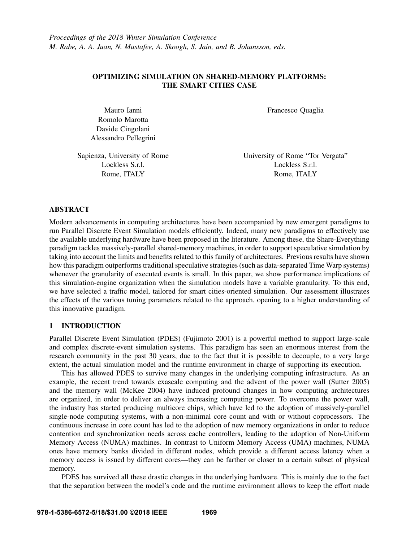# OPTIMIZING SIMULATION ON SHARED-MEMORY PLATFORMS: THE SMART CITIES CASE

Mauro Ianni Romolo Marotta Davide Cingolani Alessandro Pellegrini Francesco Quaglia

Sapienza, University of Rome Lockless S.r.l. Rome, ITALY

University of Rome "Tor Vergata" Lockless S.r.l. Rome, ITALY

## ABSTRACT

Modern advancements in computing architectures have been accompanied by new emergent paradigms to run Parallel Discrete Event Simulation models efficiently. Indeed, many new paradigms to effectively use the available underlying hardware have been proposed in the literature. Among these, the Share-Everything paradigm tackles massively-parallel shared-memory machines, in order to support speculative simulation by taking into account the limits and benefits related to this family of architectures. Previous results have shown how this paradigm outperforms traditional speculative strategies (such as data-separated Time Warp systems) whenever the granularity of executed events is small. In this paper, we show performance implications of this simulation-engine organization when the simulation models have a variable granularity. To this end, we have selected a traffic model, tailored for smart cities-oriented simulation. Our assessment illustrates the effects of the various tuning parameters related to the approach, opening to a higher understanding of this innovative paradigm.

# 1 INTRODUCTION

Parallel Discrete Event Simulation (PDES) (Fujimoto 2001) is a powerful method to support large-scale and complex discrete-event simulation systems. This paradigm has seen an enormous interest from the research community in the past 30 years, due to the fact that it is possible to decouple, to a very large extent, the actual simulation model and the runtime environment in charge of supporting its execution.

This has allowed PDES to survive many changes in the underlying computing infrastructure. As an example, the recent trend towards exascale computing and the advent of the power wall (Sutter 2005) and the memory wall (McKee 2004) have induced profound changes in how computing architectures are organized, in order to deliver an always increasing computing power. To overcome the power wall, the industry has started producing multicore chips, which have led to the adoption of massively-parallel single-node computing systems, with a non-minimal core count and with or without coprocessors. The continuous increase in core count has led to the adoption of new memory organizations in order to reduce contention and synchronization needs across cache controllers, leading to the adoption of Non-Uniform Memory Access (NUMA) machines. In contrast to Uniform Memory Access (UMA) machines, NUMA ones have memory banks divided in different nodes, which provide a different access latency when a memory access is issued by different cores—they can be farther or closer to a certain subset of physical memory.

PDES has survived all these drastic changes in the underlying hardware. This is mainly due to the fact that the separation between the model's code and the runtime environment allows to keep the effort made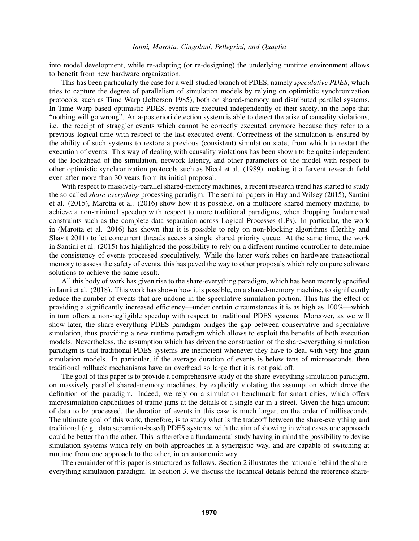into model development, while re-adapting (or re-designing) the underlying runtime environment allows to benefit from new hardware organization.

This has been particularly the case for a well-studied branch of PDES, namely *speculative PDES*, which tries to capture the degree of parallelism of simulation models by relying on optimistic synchronization protocols, such as Time Warp (Jefferson 1985), both on shared-memory and distributed parallel systems. In Time Warp-based optimistic PDES, events are executed independently of their safety, in the hope that "nothing will go wrong". An a-posteriori detection system is able to detect the arise of causality violations, i.e. the receipt of straggler events which cannot be correctly executed anymore because they refer to a previous logical time with respect to the last-executed event. Correctness of the simulation is ensured by the ability of such systems to restore a previous (consistent) simulation state, from which to restart the execution of events. This way of dealing with causality violations has been shown to be quite independent of the lookahead of the simulation, network latency, and other parameters of the model with respect to other optimistic synchronization protocols such as Nicol et al. (1989), making it a fervent research field even after more than 30 years from its initial proposal.

With respect to massively-parallel shared-memory machines, a recent research trend has started to study the so-called *share-everything* processing paradigm. The seminal papers in Hay and Wilsey (2015), Santini et al. (2015), Marotta et al. (2016) show how it is possible, on a multicore shared memory machine, to achieve a non-minimal speedup with respect to more traditional paradigms, when dropping fundamental constraints such as the complete data separation across Logical Processes (LPs). In particular, the work in (Marotta et al. 2016) has shown that it is possible to rely on non-blocking algorithms (Herlihy and Shavit 2011) to let concurrent threads access a single shared priority queue. At the same time, the work in Santini et al. (2015) has highlighted the possibility to rely on a different runtime controller to determine the consistency of events processed speculatively. While the latter work relies on hardware transactional memory to assess the safety of events, this has paved the way to other proposals which rely on pure software solutions to achieve the same result.

All this body of work has given rise to the share-everything paradigm, which has been recently specified in Ianni et al. (2018). This work has shown how it is possible, on a shared-memory machine, to significantly reduce the number of events that are undone in the speculative simulation portion. This has the effect of providing a significantly increased efficiency—under certain circumstances it is as high as 100%—which in turn offers a non-negligible speedup with respect to traditional PDES systems. Moreover, as we will show later, the share-everything PDES paradigm bridges the gap between conservative and speculative simulation, thus providing a new runtime paradigm which allows to exploit the benefits of both execution models. Nevertheless, the assumption which has driven the construction of the share-everything simulation paradigm is that traditional PDES systems are inefficient whenever they have to deal with very fine-grain simulation models. In particular, if the average duration of events is below tens of microseconds, then traditional rollback mechanisms have an overhead so large that it is not paid off.

The goal of this paper is to provide a comprehensive study of the share-everything simulation paradigm, on massively parallel shared-memory machines, by explicitly violating the assumption which drove the definition of the paradigm. Indeed, we rely on a simulation benchmark for smart cities, which offers microsimulation capabilities of traffic jams at the details of a single car in a street. Given the high amount of data to be processed, the duration of events in this case is much larger, on the order of milliseconds. The ultimate goal of this work, therefore, is to study what is the tradeoff between the share-everything and traditional (e.g., data separation-based) PDES systems, with the aim of showing in what cases one approach could be better than the other. This is therefore a fundamental study having in mind the possibility to devise simulation systems which rely on both approaches in a synergistic way, and are capable of switching at runtime from one approach to the other, in an autonomic way.

The remainder of this paper is structured as follows. Section 2 illustrates the rationale behind the shareeverything simulation paradigm. In Section 3, we discuss the technical details behind the reference share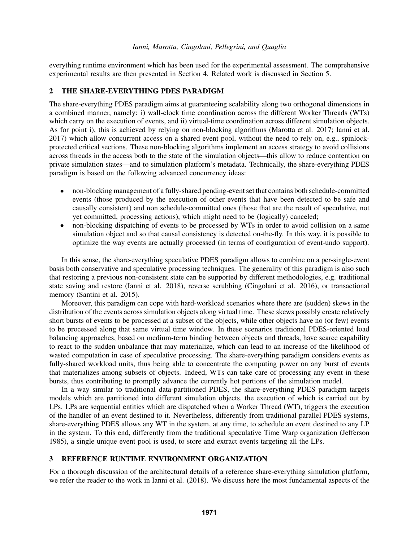everything runtime environment which has been used for the experimental assessment. The comprehensive experimental results are then presented in Section 4. Related work is discussed in Section 5.

# 2 THE SHARE-EVERYTHING PDES PARADIGM

The share-everything PDES paradigm aims at guaranteeing scalability along two orthogonal dimensions in a combined manner, namely: i) wall-clock time coordination across the different Worker Threads (WTs) which carry on the execution of events, and ii) virtual-time coordination across different simulation objects. As for point i), this is achieved by relying on non-blocking algorithms (Marotta et al. 2017; Ianni et al. 2017) which allow concurrent access on a shared event pool, without the need to rely on, e.g., spinlockprotected critical sections. These non-blocking algorithms implement an access strategy to avoid collisions across threads in the access both to the state of the simulation objects—this allow to reduce contention on private simulation states—and to simulation platform's metadata. Technically, the share-everything PDES paradigm is based on the following advanced concurrency ideas:

- non-blocking management of a fully-shared pending-event set that contains both schedule-committed events (those produced by the execution of other events that have been detected to be safe and causally consistent) and non schedule-committed ones (those that are the result of speculative, not yet committed, processing actions), which might need to be (logically) canceled;
- non-blocking dispatching of events to be processed by WTs in order to avoid collision on a same simulation object and so that causal consistency is detected on-the-fly. In this way, it is possible to optimize the way events are actually processed (in terms of configuration of event-undo support).

In this sense, the share-everything speculative PDES paradigm allows to combine on a per-single-event basis both conservative and speculative processing techniques. The generality of this paradigm is also such that restoring a previous non-consistent state can be supported by different methodologies, e.g. traditional state saving and restore (Ianni et al. 2018), reverse scrubbing (Cingolani et al. 2016), or transactional memory (Santini et al. 2015).

Moreover, this paradigm can cope with hard-workload scenarios where there are (sudden) skews in the distribution of the events across simulation objects along virtual time. These skews possibly create relatively short bursts of events to be processed at a subset of the objects, while other objects have no (or few) events to be processed along that same virtual time window. In these scenarios traditional PDES-oriented load balancing approaches, based on medium-term binding between objects and threads, have scarce capability to react to the sudden unbalance that may materialize, which can lead to an increase of the likelihood of wasted computation in case of speculative processing. The share-everything paradigm considers events as fully-shared workload units, thus being able to concentrate the computing power on any burst of events that materializes among subsets of objects. Indeed, WTs can take care of processing any event in these bursts, thus contributing to promptly advance the currently hot portions of the simulation model.

In a way similar to traditional data-partitioned PDES, the share-everything PDES paradigm targets models which are partitioned into different simulation objects, the execution of which is carried out by LPs. LPs are sequential entities which are dispatched when a Worker Thread (WT), triggers the execution of the handler of an event destined to it. Nevertheless, differently from traditional parallel PDES systems, share-everything PDES allows any WT in the system, at any time, to schedule an event destined to any LP in the system. To this end, differently from the traditional speculative Time Warp organization (Jefferson 1985), a single unique event pool is used, to store and extract events targeting all the LPs.

# 3 REFERENCE RUNTIME ENVIRONMENT ORGANIZATION

For a thorough discussion of the architectural details of a reference share-everything simulation platform, we refer the reader to the work in Ianni et al. (2018). We discuss here the most fundamental aspects of the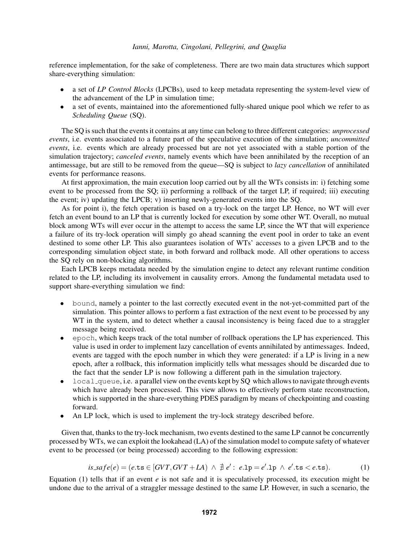reference implementation, for the sake of completeness. There are two main data structures which support share-everything simulation:

- a set of *LP Control Blocks* (LPCBs), used to keep metadata representing the system-level view of the advancement of the LP in simulation time;
- a set of events, maintained into the aforementioned fully-shared unique pool which we refer to as *Scheduling Queue* (SQ).

The SQ is such that the events it contains at any time can belong to three different categories: *unprocessed events*, i.e. events associated to a future part of the speculative execution of the simulation; *uncommitted events*, i.e. events which are already processed but are not yet associated with a stable portion of the simulation trajectory; *canceled events*, namely events which have been annihilated by the reception of an antimessage, but are still to be removed from the queue—SQ is subject to *lazy cancellation* of annihilated events for performance reasons.

At first approximation, the main execution loop carried out by all the WTs consists in: i) fetching some event to be processed from the SQ; ii) performing a rollback of the target LP, if required; iii) executing the event; iv) updating the LPCB; v) inserting newly-generated events into the SQ.

As for point i), the fetch operation is based on a try-lock on the target LP. Hence, no WT will ever fetch an event bound to an LP that is currently locked for execution by some other WT. Overall, no mutual block among WTs will ever occur in the attempt to access the same LP, since the WT that will experience a failure of its try-lock operation will simply go ahead scanning the event pool in order to take an event destined to some other LP. This also guarantees isolation of WTs' accesses to a given LPCB and to the corresponding simulation object state, in both forward and rollback mode. All other operations to access the SQ rely on non-blocking algorithms.

Each LPCB keeps metadata needed by the simulation engine to detect any relevant runtime condition related to the LP, including its involvement in causality errors. Among the fundamental metadata used to support share-everything simulation we find:

- bound, namely a pointer to the last correctly executed event in the not-yet-committed part of the simulation. This pointer allows to perform a fast extraction of the next event to be processed by any WT in the system, and to detect whether a causal inconsistency is being faced due to a straggler message being received.
- epoch, which keeps track of the total number of rollback operations the LP has experienced. This value is used in order to implement lazy cancellation of events annihilated by antimessages. Indeed, events are tagged with the epoch number in which they were generated: if a LP is living in a new epoch, after a rollback, this information implicitly tells what messages should be discarded due to the fact that the sender LP is now following a different path in the simulation trajectory.
- local queue, i.e. a parallel view on the events kept by SQ which allows to navigate through events which have already been processed. This view allows to effectively perform state reconstruction, which is supported in the share-everything PDES paradigm by means of checkpointing and coasting forward.
- An LP lock, which is used to implement the try-lock strategy described before.

Given that, thanks to the try-lock mechanism, two events destined to the same LP cannot be concurrently processed by WTs, we can exploit the lookahead (LA) of the simulation model to compute safety of whatever event to be processed (or being processed) according to the following expression:

$$
is\,\mathcal{A}fe(e) = (e.\,\mathsf{ts} \in [GVT, GVT + LA) \ \land \ \nexists \ e': \ e.\mathsf{1p} = e'.\mathsf{1p} \ \land \ e'.\,\mathsf{ts} < e.\,\mathsf{ts}).\tag{1}
$$

Equation (1) tells that if an event  $e$  is not safe and it is speculatively processed, its execution might be undone due to the arrival of a straggler message destined to the same LP. However, in such a scenario, the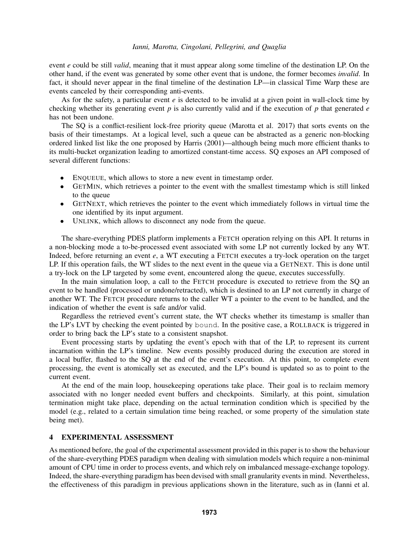event *e* could be still *valid*, meaning that it must appear along some timeline of the destination LP. On the other hand, if the event was generated by some other event that is undone, the former becomes *invalid*. In fact, it should never appear in the final timeline of the destination LP—in classical Time Warp these are events canceled by their corresponding anti-events.

As for the safety, a particular event *e* is detected to be invalid at a given point in wall-clock time by checking whether its generating event *p* is also currently valid and if the execution of *p* that generated *e* has not been undone.

The SQ is a conflict-resilient lock-free priority queue (Marotta et al. 2017) that sorts events on the basis of their timestamps. At a logical level, such a queue can be abstracted as a generic non-blocking ordered linked list like the one proposed by Harris (2001)—although being much more efficient thanks to its multi-bucket organization leading to amortized constant-time access. SQ exposes an API composed of several different functions:

- ENQUEUE, which allows to store a new event in timestamp order.
- GETMIN, which retrieves a pointer to the event with the smallest timestamp which is still linked to the queue
- GETNEXT, which retrieves the pointer to the event which immediately follows in virtual time the one identified by its input argument.
- UNLINK, which allows to disconnect any node from the queue.

The share-everything PDES platform implements a FETCH operation relying on this API. It returns in a non-blocking mode a to-be-processed event associated with some LP not currently locked by any WT. Indeed, before returning an event *e*, a WT executing a FETCH executes a try-lock operation on the target LP. If this operation fails, the WT slides to the next event in the queue via a GETNEXT. This is done until a try-lock on the LP targeted by some event, encountered along the queue, executes successfully.

In the main simulation loop, a call to the FETCH procedure is executed to retrieve from the SQ an event to be handled (processed or undone/retracted), which is destined to an LP not currently in charge of another WT. The FETCH procedure returns to the caller WT a pointer to the event to be handled, and the indication of whether the event is safe and/or valid.

Regardless the retrieved event's current state, the WT checks whether its timestamp is smaller than the LP's LVT by checking the event pointed by bound. In the positive case, a ROLLBACK is triggered in order to bring back the LP's state to a consistent snapshot.

Event processing starts by updating the event's epoch with that of the LP, to represent its current incarnation within the LP's timeline. New events possibly produced during the execution are stored in a local buffer, flashed to the SQ at the end of the event's execution. At this point, to complete event processing, the event is atomically set as executed, and the LP's bound is updated so as to point to the current event.

At the end of the main loop, housekeeping operations take place. Their goal is to reclaim memory associated with no longer needed event buffers and checkpoints. Similarly, at this point, simulation termination might take place, depending on the actual termination condition which is specified by the model (e.g., related to a certain simulation time being reached, or some property of the simulation state being met).

## 4 EXPERIMENTAL ASSESSMENT

As mentioned before, the goal of the experimental assessment provided in this paper is to show the behaviour of the share-everything PDES paradigm when dealing with simulation models which require a non-minimal amount of CPU time in order to process events, and which rely on imbalanced message-exchange topology. Indeed, the share-everything paradigm has been devised with small granularity events in mind. Nevertheless, the effectiveness of this paradigm in previous applications shown in the literature, such as in (Ianni et al.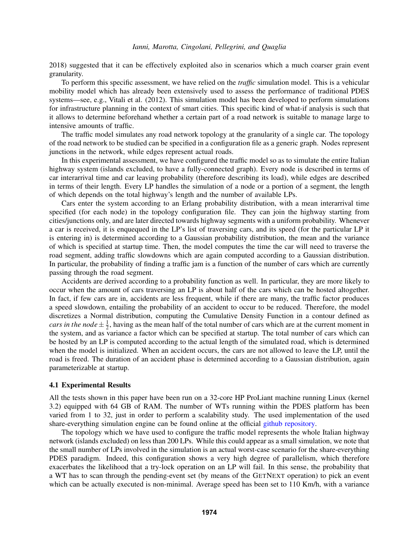2018) suggested that it can be effectively exploited also in scenarios which a much coarser grain event granularity.

To perform this specific assessment, we have relied on the *traffic* simulation model. This is a vehicular mobility model which has already been extensively used to assess the performance of traditional PDES systems—see, e.g., Vitali et al. (2012). This simulation model has been developed to perform simulations for infrastructure planning in the context of smart cities. This specific kind of what-if analysis is such that it allows to determine beforehand whether a certain part of a road network is suitable to manage large to intensive amounts of traffic.

The traffic model simulates any road network topology at the granularity of a single car. The topology of the road network to be studied can be specified in a configuration file as a generic graph. Nodes represent junctions in the network, while edges represent actual roads.

In this experimental assessment, we have configured the traffic model so as to simulate the entire Italian highway system (islands excluded, to have a fully-connected graph). Every node is described in terms of car interarrival time and car leaving probability (therefore describing its load), while edges are described in terms of their length. Every LP handles the simulation of a node or a portion of a segment, the length of which depends on the total highway's length and the number of available LPs.

Cars enter the system according to an Erlang probability distribution, with a mean interarrival time specified (for each node) in the topology configuration file. They can join the highway starting from cities/junctions only, and are later directed towards highway segments with a uniform probability. Whenever a car is received, it is enquequed in the LP's list of traversing cars, and its speed (for the particular LP it is entering in) is determined according to a Gaussian probability distribution, the mean and the variance of which is specified at startup time. Then, the model computes the time the car will need to traverse the road segment, adding traffic slowdowns which are again computed according to a Gaussian distribution. In particular, the probability of finding a traffic jam is a function of the number of cars which are currently passing through the road segment.

Accidents are derived according to a probability function as well. In particular, they are more likely to occur when the amount of cars traversing an LP is about half of the cars which can be hosted altogether. In fact, if few cars are in, accidents are less frequent, while if there are many, the traffic factor produces a speed slowdown, entailing the probability of an accident to occur to be reduced. Therefore, the model discretizes a Normal distribution, computing the Cumulative Density Function in a contour defined as *cars in the node*  $\pm \frac{1}{2}$  $\frac{1}{2}$ , having as the mean half of the total number of cars which are at the current moment in the system, and as variance a factor which can be specified at startup. The total number of cars which can be hosted by an LP is computed according to the actual length of the simulated road, which is determined when the model is initialized. When an accident occurs, the cars are not allowed to leave the LP, until the road is freed. The duration of an accident phase is determined according to a Gaussian distribution, again parameterizable at startup.

#### 4.1 Experimental Results

All the tests shown in this paper have been run on a 32-core HP ProLiant machine running Linux (kernel 3.2) equipped with 64 GB of RAM. The number of WTs running within the PDES platform has been varied from 1 to 32, just in order to perform a scalability study. The used implementation of the used share-everything simulation engine can be found online at the official github repository.

The topology which we have used to configure the traffic model represents the whole Italian highway network (islands excluded) on less than 200 LPs. While this could appear as a small simulation, we note that the small number of LPs involved in the simulation is an actual worst-case scenario for the share-everything PDES paradigm. Indeed, this configuration shows a very high degree of parallelism, which therefore exacerbates the likelihood that a try-lock operation on an LP will fail. In this sense, the probability that a WT has to scan through the pending-event set (by means of the GETNEXT operation) to pick an event which can be actually executed is non-minimal. Average speed has been set to 110 Km/h, with a variance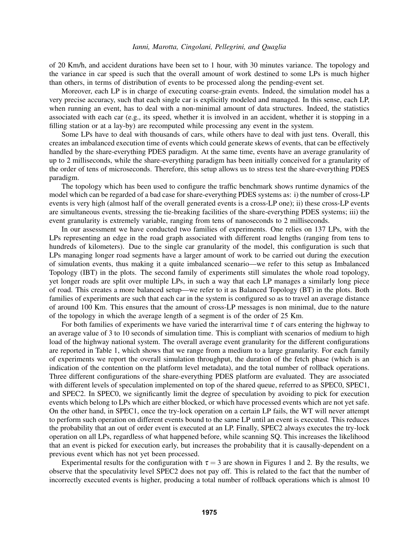of 20 Km/h, and accident durations have been set to 1 hour, with 30 minutes variance. The topology and the variance in car speed is such that the overall amount of work destined to some LPs is much higher than others, in terms of distribution of events to be processed along the pending-event set.

Moreover, each LP is in charge of executing coarse-grain events. Indeed, the simulation model has a very precise accuracy, such that each single car is explicitly modeled and managed. In this sense, each LP, when running an event, has to deal with a non-minimal amount of data structures. Indeed, the statistics associated with each car (e.g., its speed, whether it is involved in an accident, whether it is stopping in a filling station or at a lay-by) are recomputed while processing any event in the system.

Some LPs have to deal with thousands of cars, while others have to deal with just tens. Overall, this creates an imbalanced execution time of events which could generate skews of events, that can be effectively handled by the share-everything PDES paradigm. At the same time, events have an average granularity of up to 2 milliseconds, while the share-everything paradigm has been initially conceived for a granularity of the order of tens of microseconds. Therefore, this setup allows us to stress test the share-everything PDES paradigm.

The topology which has been used to configure the traffic benchmark shows runtime dynamics of the model which can be regarded of a bad case for share-everything PDES systems as: i) the number of cross-LP events is very high (almost half of the overall generated events is a cross-LP one); ii) these cross-LP events are simultaneous events, stressing the tie-breaking facilities of the share-everything PDES systems; iii) the event granularity is extremely variable, ranging from tens of nanoseconds to 2 milliseconds.

In our assessment we have conducted two families of experiments. One relies on 137 LPs, with the LPs representing an edge in the road graph associated with different road lengths (ranging from tens to hundreds of kilometers). Due to the single car granularity of the model, this configuration is such that LPs managing longer road segments have a larger amount of work to be carried out during the execution of simulation events, thus making it a quite imbalanced scenario—we refer to this setup as Imbalanced Topology (IBT) in the plots. The second family of experiments still simulates the whole road topology, yet longer roads are split over multiple LPs, in such a way that each LP manages a similarly long piece of road. This creates a more balanced setup—we refer to it as Balanced Topology (BT) in the plots. Both families of experiments are such that each car in the system is configured so as to travel an average distance of around 100 Km. This ensures that the amount of cross-LP messages is non minimal, due to the nature of the topology in which the average length of a segment is of the order of 25 Km.

For both families of experiments we have varied the interarrival time  $\tau$  of cars entering the highway to an average value of 3 to 10 seconds of simulation time. This is compliant with scenarios of medium to high load of the highway national system. The overall average event granularity for the different configurations are reported in Table 1, which shows that we range from a medium to a large granularity. For each family of experiments we report the overall simulation throughput, the duration of the fetch phase (which is an indication of the contention on the platform level metadata), and the total number of rollback operations. Three different configurations of the share-everything PDES platform are evaluated. They are associated with different levels of speculation implemented on top of the shared queue, referred to as SPEC0, SPEC1, and SPEC2. In SPEC0, we significantly limit the degree of speculation by avoiding to pick for execution events which belong to LPs which are either blocked, or which have processed events which are not yet safe. On the other hand, in SPEC1, once the try-lock operation on a certain LP fails, the WT will never attempt to perform such operation on different events bound to the same LP until an event is executed. This reduces the probability that an out of order event is executed at an LP. Finally, SPEC2 always executes the try-lock operation on all LPs, regardless of what happened before, while scanning SQ. This increases the likelihood that an event is picked for execution early, but increases the probability that it is causally-dependent on a previous event which has not yet been processed.

Experimental results for the configuration with  $\tau = 3$  are shown in Figures 1 and 2. By the results, we observe that the speculativity level SPEC2 does not pay off. This is related to the fact that the number of incorrectly executed events is higher, producing a total number of rollback operations which is almost 10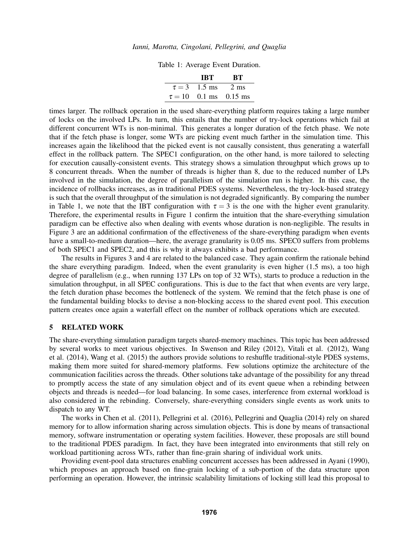Table 1: Average Event Duration.

| TRT                    | -BT                        |
|------------------------|----------------------------|
| $\tau = 3$ 1.5 ms 2 ms |                            |
|                        | $\tau = 10$ 0.1 ms 0.15 ms |

times larger. The rollback operation in the used share-everything platform requires taking a large number of locks on the involved LPs. In turn, this entails that the number of try-lock operations which fail at different concurrent WTs is non-minimal. This generates a longer duration of the fetch phase. We note that if the fetch phase is longer, some WTs are picking event much farther in the simulation time. This increases again the likelihood that the picked event is not causally consistent, thus generating a waterfall effect in the rollback pattern. The SPEC1 configuration, on the other hand, is more tailored to selecting for execution causally-consistent events. This strategy shows a simulation throughput which grows up to 8 concurrent threads. When the number of threads is higher than 8, due to the reduced number of LPs involved in the simulation, the degree of parallelism of the simulation run is higher. In this case, the incidence of rollbacks increases, as in traditional PDES systems. Nevertheless, the try-lock-based strategy is such that the overall throughput of the simulation is not degraded significantly. By comparing the number in Table 1, we note that the IBT configuration with  $\tau = 3$  is the one with the higher event granularity. Therefore, the experimental results in Figure 1 confirm the intuition that the share-everything simulation paradigm can be effective also when dealing with events whose duration is non-negligible. The results in Figure 3 are an additional confirmation of the effectiveness of the share-everything paradigm when events have a small-to-medium duration—here, the average granularity is 0.05 ms. SPEC0 suffers from problems of both SPEC1 and SPEC2, and this is why it always exhibits a bad performance.

The results in Figures 3 and 4 are related to the balanced case. They again confirm the rationale behind the share everything paradigm. Indeed, when the event granularity is even higher (1.5 ms), a too high degree of parallelism (e.g., when running 137 LPs on top of 32 WTs), starts to produce a reduction in the simulation throughput, in all SPEC configurations. This is due to the fact that when events are very large, the fetch duration phase becomes the bottleneck of the system. We remind that the fetch phase is one of the fundamental building blocks to devise a non-blocking access to the shared event pool. This execution pattern creates once again a waterfall effect on the number of rollback operations which are executed.

## 5 RELATED WORK

The share-everything simulation paradigm targets shared-memory machines. This topic has been addressed by several works to meet various objectives. In Swenson and Riley (2012), Vitali et al. (2012), Wang et al. (2014), Wang et al. (2015) the authors provide solutions to reshuffle traditional-style PDES systems, making them more suited for shared-memory platforms. Few solutions optimize the architecture of the communication facilities across the threads. Other solutions take advantage of the possibility for any thread to promptly access the state of any simulation object and of its event queue when a rebinding between objects and threads is needed—for load balancing. In some cases, interference from external workload is also considered in the rebinding. Conversely, share-everything considers single events as work units to dispatch to any WT.

The works in Chen et al. (2011), Pellegrini et al. (2016), Pellegrini and Quaglia (2014) rely on shared memory for to allow information sharing across simulation objects. This is done by means of transactional memory, software instrumentation or operating system facilities. However, these proposals are still bound to the traditional PDES paradigm. In fact, they have been integrated into environments that still rely on workload partitioning across WTs, rather than fine-grain sharing of individual work units.

Providing event-pool data structures enabling concurrent accesses has been addressed in Ayani (1990), which proposes an approach based on fine-grain locking of a sub-portion of the data structure upon performing an operation. However, the intrinsic scalability limitations of locking still lead this proposal to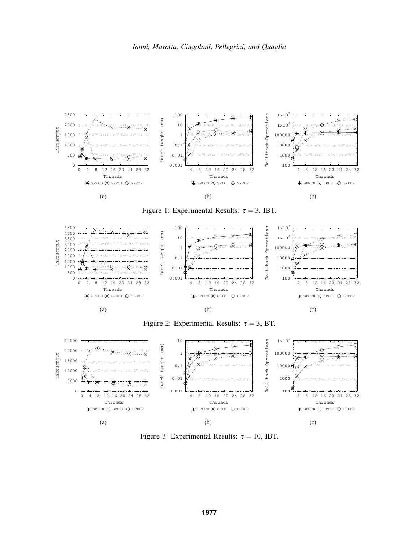

Figure 1: Experimental Results:  $\tau = 3$ , IBT.



Figure 2: Experimental Results:  $\tau = 3$ , BT.



Figure 3: Experimental Results:  $\tau = 10$ , IBT.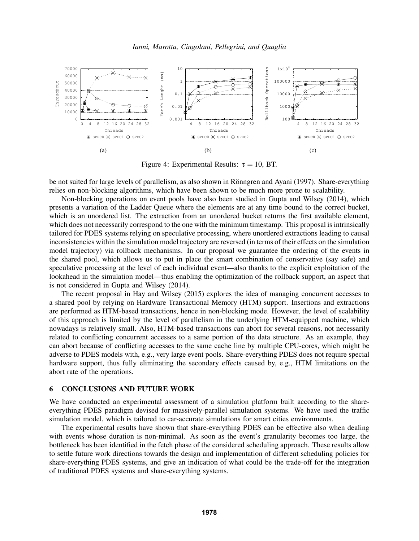

Figure 4: Experimental Results:  $\tau = 10$ , BT.

be not suited for large levels of parallelism, as also shown in Rönngren and Ayani (1997). Share-everything relies on non-blocking algorithms, which have been shown to be much more prone to scalability.

Non-blocking operations on event pools have also been studied in Gupta and Wilsey (2014), which presents a variation of the Ladder Queue where the elements are at any time bound to the correct bucket, which is an unordered list. The extraction from an unordered bucket returns the first available element, which does not necessarily correspond to the one with the minimum timestamp. This proposal is intrinsically tailored for PDES systems relying on speculative processing, where unordered extractions leading to causal inconsistencies within the simulation model trajectory are reversed (in terms of their effects on the simulation model trajectory) via rollback mechanisms. In our proposal we guarantee the ordering of the events in the shared pool, which allows us to put in place the smart combination of conservative (say safe) and speculative processing at the level of each individual event—also thanks to the explicit exploitation of the lookahead in the simulation model—thus enabling the optimization of the rollback support, an aspect that is not considered in Gupta and Wilsey (2014).

The recent proposal in Hay and Wilsey (2015) explores the idea of managing concurrent accesses to a shared pool by relying on Hardware Transactional Memory (HTM) support. Insertions and extractions are performed as HTM-based transactions, hence in non-blocking mode. However, the level of scalability of this approach is limited by the level of parallelism in the underlying HTM-equipped machine, which nowadays is relatively small. Also, HTM-based transactions can abort for several reasons, not necessarily related to conflicting concurrent accesses to a same portion of the data structure. As an example, they can abort because of conflicting accesses to the same cache line by multiple CPU-cores, which might be adverse to PDES models with, e.g., very large event pools. Share-everything PDES does not require special hardware support, thus fully eliminating the secondary effects caused by, e.g., HTM limitations on the abort rate of the operations.

#### 6 CONCLUSIONS AND FUTURE WORK

We have conducted an experimental assessment of a simulation platform built according to the shareeverything PDES paradigm devised for massively-parallel simulation systems. We have used the traffic simulation model, which is tailored to car-accurate simulations for smart cities environments.

The experimental results have shown that share-everything PDES can be effective also when dealing with events whose duration is non-minimal. As soon as the event's granularity becomes too large, the bottleneck has been identified in the fetch phase of the considered scheduling approach. These results allow to settle future work directions towards the design and implementation of different scheduling policies for share-everything PDES systems, and give an indication of what could be the trade-off for the integration of traditional PDES systems and share-everything systems.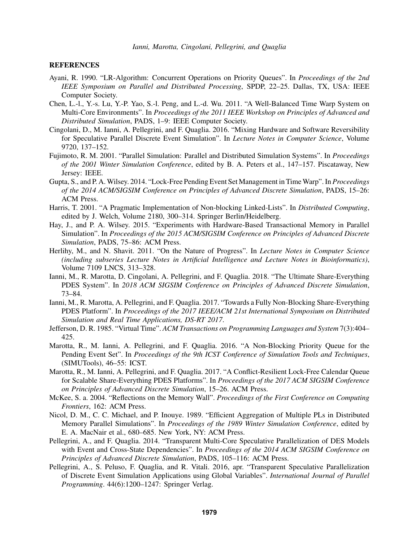#### **REFERENCES**

- Ayani, R. 1990. "LR-Algorithm: Concurrent Operations on Priority Queues". In *Proceedings of the 2nd IEEE Symposium on Parallel and Distributed Processing*, SPDP, 22–25. Dallas, TX, USA: IEEE Computer Society.
- Chen, L.-l., Y.-s. Lu, Y.-P. Yao, S.-l. Peng, and L.-d. Wu. 2011. "A Well-Balanced Time Warp System on Multi-Core Environments". In *Proceedings of the 2011 IEEE Workshop on Principles of Advanced and Distributed Simulation*, PADS, 1–9: IEEE Computer Society.
- Cingolani, D., M. Ianni, A. Pellegrini, and F. Quaglia. 2016. "Mixing Hardware and Software Reversibility for Speculative Parallel Discrete Event Simulation". In *Lecture Notes in Computer Science*, Volume 9720, 137–152.
- Fujimoto, R. M. 2001. "Parallel Simulation: Parallel and Distributed Simulation Systems". In *Proceedings of the 2001 Winter Simulation Conference*, edited by B. A. Peters et al., 147–157. Piscataway, New Jersey: IEEE.
- Gupta, S., and P. A. Wilsey. 2014. "Lock-Free Pending Event Set Management in Time Warp". In *Proceedings of the 2014 ACM/SIGSIM Conference on Principles of Advanced Discrete Simulation*, PADS, 15–26: ACM Press.
- Harris, T. 2001. "A Pragmatic Implementation of Non-blocking Linked-Lists". In *Distributed Computing*, edited by J. Welch, Volume 2180, 300–314. Springer Berlin/Heidelberg.
- Hay, J., and P. A. Wilsey. 2015. "Experiments with Hardware-Based Transactional Memory in Parallel Simulation". In *Proceedings of the 2015 ACM/SIGSIM Conference on Principles of Advanced Discrete Simulation*, PADS, 75–86: ACM Press.
- Herlihy, M., and N. Shavit. 2011. "On the Nature of Progress". In *Lecture Notes in Computer Science (including subseries Lecture Notes in Artificial Intelligence and Lecture Notes in Bioinformatics)*, Volume 7109 LNCS, 313–328.
- Ianni, M., R. Marotta, D. Cingolani, A. Pellegrini, and F. Quaglia. 2018. "The Ultimate Share-Everything PDES System". In *2018 ACM SIGSIM Conference on Principles of Advanced Discrete Simulation*, 73–84.
- Ianni, M., R. Marotta, A. Pellegrini, and F. Quaglia. 2017. "Towards a Fully Non-Blocking Share-Everything PDES Platform". In *Proceedings of the 2017 IEEE/ACM 21st International Symposium on Distributed Simulation and Real Time Applications, DS-RT 2017*.
- Jefferson, D. R. 1985. "Virtual Time". *ACM Transactions on Programming Languages and System* 7(3):404– 425.
- Marotta, R., M. Ianni, A. Pellegrini, and F. Quaglia. 2016. "A Non-Blocking Priority Queue for the Pending Event Set". In *Proceedings of the 9th ICST Conference of Simulation Tools and Techniques*, (SIMUTools), 46–55: ICST.
- Marotta, R., M. Ianni, A. Pellegrini, and F. Quaglia. 2017. "A Conflict-Resilient Lock-Free Calendar Queue for Scalable Share-Everything PDES Platforms". In *Proceedings of the 2017 ACM SIGSIM Conference on Principles of Advanced Discrete Simulation*, 15–26. ACM Press.
- McKee, S. a. 2004. "Reflections on the Memory Wall". *Proceedings of the First Conference on Computing Frontiers*, 162: ACM Press.
- Nicol, D. M., C. C. Michael, and P. Inouye. 1989. "Efficient Aggregation of Multiple PLs in Distributed Memory Parallel Simulations". In *Proceedings of the 1989 Winter Simulation Conference*, edited by E. A. MacNair et al., 680–685. New York, NY: ACM Press.
- Pellegrini, A., and F. Quaglia. 2014. "Transparent Multi-Core Speculative Parallelization of DES Models with Event and Cross-State Dependencies". In *Proceedings of the 2014 ACM SIGSIM Conference on Principles of Advanced Discrete Simulation*, PADS, 105–116: ACM Press.
- Pellegrini, A., S. Peluso, F. Quaglia, and R. Vitali. 2016, apr. "Transparent Speculative Parallelization of Discrete Event Simulation Applications using Global Variables". *International Journal of Parallel Programming*. 44(6):1200–1247: Springer Verlag.